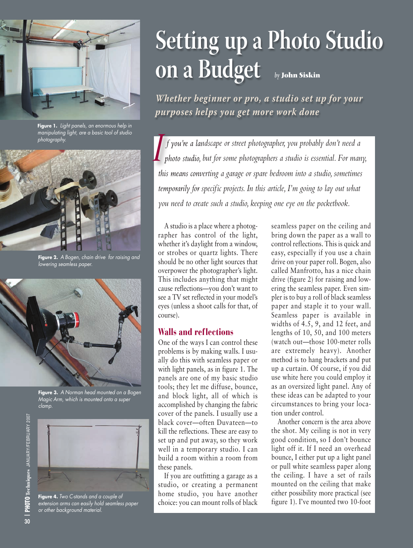

**Figure 1.** *Light panels, an enormous help in manipulating light, are a basic tool of studio photography.*



**Figure 2.** *A Bogen, chain drive for raising and lowering seamless paper.*



**Figure 3.** *A Norman head mounted on a Bogen Magic Arm, which is mounted onto a super clamp.*



**Figure 4.** *Two C-stands and a couple of extension arms can easily hold seamless paper or other background material.*

# **Setting up a Photo Studio on a Budget** *by* **John Siskin**

*Whether beginner or pro, a studio set up for your purposes helps you get more work done*

*f you're a landscape or street photographer, you probably don't need a photo studio, but for some photographers a studio is essential. For many, this means converting a garage or spare bedroom into a studio, sometimes temporarily for specific projects. In this article, I'm going to lay out what you need to create such a studio, keeping one eye on the pocketbook.* I

A studio is a place where a photographer has control of the light, whether it's daylight from a window, or strobes or quartz lights. There should be no other light sources that overpower the photographer's light. This includes anything that might cause reflections—you don't want to see a TV set reflected in your model's eyes (unless a shoot calls for that, of course).

## **Walls and reflections**

One of the ways I can control these problems is by making walls. I usually do this with seamless paper or with light panels, as in figure 1. The panels are one of my basic studio tools; they let me diffuse, bounce, and block light, all of which is accomplished by changing the fabric cover of the panels. I usually use a black cover—often Duvateen—to kill the reflections. These are easy to set up and put away, so they work well in a temporary studio. I can build a room within a room from these panels.

If you are outfitting a garage as a studio, or creating a permanent home studio, you have another choice: you can mount rolls of black

seamless paper on the ceiling and bring down the paper as a wall to control reflections. This is quick and easy, especially if you use a chain drive on your paper roll. Bogen, also called Manfrotto, has a nice chain drive (figure 2) for raising and lowering the seamless paper. Even simpler is to buy a roll of black seamless paper and staple it to your wall. Seamless paper is available in widths of 4.5, 9, and 12 feet, and lengths of 10, 50, and 100 meters (watch out—those 100-meter rolls are extremely heavy). Another method is to hang brackets and put up a curtain. Of course, if you did use white here you could employ it as an oversized light panel. Any of these ideas can be adapted to your circumstances to bring your location under control.

Another concern is the area above the shot. My ceiling is not in very good condition, so I don't bounce light off it. If I need an overhead bounce, I either put up a light panel or pull white seamless paper along the ceiling. I have a set of rails mounted on the ceiling that make either possibility more practical (see figure 1). I've mounted two 10-foot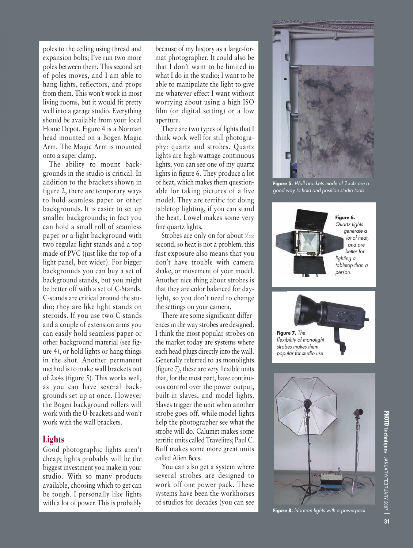poles to the ceiling using thread and expansion bolts; I've run two more poles between them. This second set of poles moves, and I am able to hang lights, reflectors, and props from them. This won't work in most living rooms, but it would fit pretty well into a garage studio. Everything should be available from your local Home Depot. Figure 4 is a Norman head mounted on a Bogen Magic Arm. The Magic Arm is mounted onto a super clamp.

The ability to mount backgrounds in the studio is critical. In addition to the brackets shown in figure 2, there are temporary ways to hold seamless paper or other backgrounds. It is easier to set up smaller backgrounds; in fact you can hold a small roll of seamless paper or a light background with two regular light stands and a top made of PVC (just like the top of a light panel, but wider). For bigger backgrounds you can buy a set of background stands, but you might be better off with a set of C-Stands. C-stands are critical around the studio; they are like light stands on steroids. If you use two C-stands and a couple of extension arms you can easily hold seamless paper or other background material (see figure 4), or hold lights or hang things in the shot. Another permanent method is to make wall brackets out of 2×4s (figure 5). This works well, as you can have several backgrounds set up at once. However the Bogen background rollers will work with the U-brackets and won't work with the wall brackets.

## **Lights**

Good photographic lights aren't cheap; lights probably will be the biggest investment you make in your studio. With so many products available, choosing which to get can be tough. I personally like lights with a lot of power. This is probably

because of my history as a large-format photographer. It could also be that I don't want to be limited in what I do in the studio; I want to be able to manipulate the light to give me whatever effect I want without worrying about using a high ISO film (or digital setting) or a low aperture.

There are two types of lights that I think work well for still photography: quartz and strobes. Quartz lights are high-wattage continuous lights; you can see one of my quartz lights in figure 6. They produce a lot of heat, which makes them questionable for taking pictures of a live model. They are terrific for doing tabletop lighting, if you can stand the heat. Lowel makes some very fine quartz lights.

Strobes are only on for about  $\frac{1}{1000}$ second, so heat is not a problem; this fast exposure also means that you don't have trouble with camera shake, or movement of your model. Another nice thing about strobes is that they are color balanced for daylight, so you don't need to change the settings on your camera.

There are some significant differencesin the way strobes are designed. I think the most popular strobes on the market today are systems where each head plugs directly into the wall. Generally referred to as monolights (figure 7), these are very flexible units that, for the most part, have continuous control over the power output, built-in slaves, and model lights. Slaves trigger the unit when another strobe goes off, while model lights help the photographer see what the strobe will do. Calumet makes some terrific units called Travelites; Paul C. Buff makes some more great units called Alien Bees.

You can also get a system where several strobes are designed to work off one power pack. These systems have been the workhorses of studios for decades (you can see



**Figure 5.** *Wall brackets made of 2*×*4s are a good way to hold and position studio tools.*







**Figure 8.** *Norman lights with a powerpack.*

**31**

**PHOTO**

**Techniques**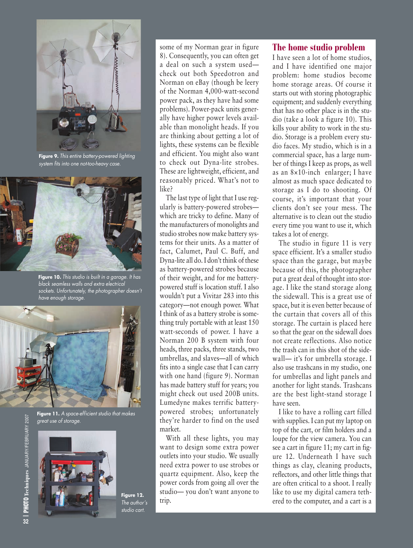

**Figure 9.** *This entire battery-powered lighting system fits into one not-too-heavy case.*



**Figure 10.** *This studio is built in a garage. It has black seamless walls and extra electrical sockets. Unfortunately, the photographer doesn't have enough storage.*



**Figure 11.** *A space-efficient studio that makes great use of storage.*



**Figure 12.** *The author's studio cart.*

some of my Norman gear in figure 8). Consequently, you can often get a deal on such a system used check out both Speedotron and Norman on eBay (though be leery of the Norman 4,000-watt-second power pack, as they have had some problems). Power-pack units generally have higher power levels available than monolight heads. If you are thinking about getting a lot of lights, these systems can be flexible and efficient. You might also want to check out Dyna-lite strobes. These are lightweight, efficient, and reasonably priced. What's not to like?

The last type of light that I use regularly is battery-powered strobes which are tricky to define. Many of the manufacturers of monolights and studio strobes now make battery systems for their units. As a matter of fact, Calumet, Paul C. Buff, and Dyna-lite all do. I don't think of these as battery-powered strobes because of their weight, and for me batterypowered stuff is location stuff. I also wouldn't put a Vivitar 283 into this category—not enough power. What I think of as a battery strobe is something truly portable with at least 150 watt-seconds of power. I have a Norman 200 B system with four heads, three packs, three stands, two umbrellas, and slaves—all of which fits into a single case that I can carry with one hand (figure 9). Norman has made battery stuff for years; you might check out used 200B units. Lumedyne makes terrific batterypowered strobes; unfortunately they're harder to find on the used market.

With all these lights, you may want to design some extra power outlets into your studio. We usually need extra power to use strobes or quartz equipment. Also, keep the power cords from going all over the studio— you don't want anyone to trip.

### **The home studio problem**

I have seen a lot of home studios, and I have identified one major problem: home studios become home storage areas. Of course it starts out with storing photographic equipment; and suddenly everything that has no other place is in the studio (take a look a figure 10). This kills your ability to work in the studio. Storage is a problem every studio faces. My studio, which is in a commercial space, has a large number of things I keep as props, as well as an 8×10-inch enlarger; I have almost as much space dedicated to storage as I do to shooting. Of course, it's important that your clients don't see your mess. The alternative is to clean out the studio every time you want to use it, which takes a lot of energy.

The studio in figure 11 is very space efficient. It's a smaller studio space than the garage, but maybe because of this, the photographer put a great deal of thought into storage. I like the stand storage along the sidewall. This is a great use of space, but it is even better because of the curtain that covers all of this storage. The curtain is placed here so that the gear on the sidewall does not create reflections. Also notice the trash can in this shot of the sidewall— it's for umbrella storage. I also use trashcans in my studio, one for umbrellas and light panels and another for light stands. Trashcans are the best light-stand storage I have seen.

I like to have a rolling cart filled with supplies. I can put my laptop on top of the cart, or film holders and a loupe for the view camera. You can see a cart in figure 11; my cart in figure 12. Underneath I have such things as clay, cleaning products, reflectors, and other little things that are often critical to a shoot. I really like to use my digital camera tethered to the computer, and a cart is a

**|32 PHOTO Techniques** JANUARY/FEBRUARY 2007